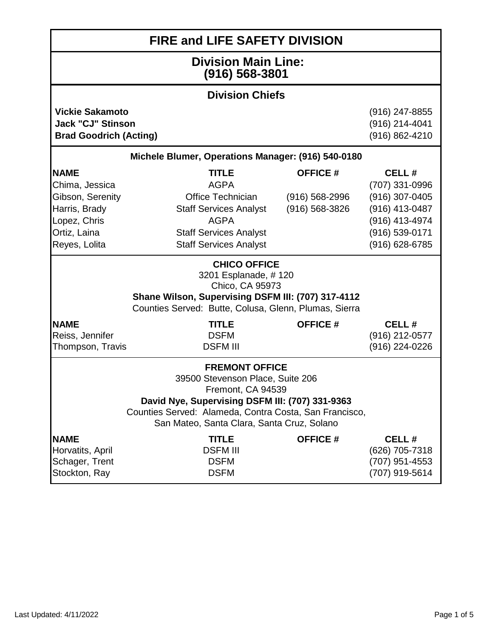| <b>FIRE and LIFE SAFETY DIVISION</b>                                                                                                                                                                                                      |                                                                                                                                                                                                                                                                                            |                                                            |                                                                                                                   |  |
|-------------------------------------------------------------------------------------------------------------------------------------------------------------------------------------------------------------------------------------------|--------------------------------------------------------------------------------------------------------------------------------------------------------------------------------------------------------------------------------------------------------------------------------------------|------------------------------------------------------------|-------------------------------------------------------------------------------------------------------------------|--|
| <b>Division Main Line:</b><br>$(916) 568 - 3801$                                                                                                                                                                                          |                                                                                                                                                                                                                                                                                            |                                                            |                                                                                                                   |  |
|                                                                                                                                                                                                                                           | <b>Division Chiefs</b>                                                                                                                                                                                                                                                                     |                                                            |                                                                                                                   |  |
|                                                                                                                                                                                                                                           | <b>Vickie Sakamoto</b><br>(916) 247-8855<br><b>Jack "CJ" Stinson</b><br>(916) 214-4041<br>(916) 862-4210<br><b>Brad Goodrich (Acting)</b>                                                                                                                                                  |                                                            |                                                                                                                   |  |
|                                                                                                                                                                                                                                           | Michele Blumer, Operations Manager: (916) 540-0180                                                                                                                                                                                                                                         |                                                            |                                                                                                                   |  |
| <b>NAME</b><br>Chima, Jessica<br>Gibson, Serenity<br>Harris, Brady<br>Lopez, Chris<br>Ortiz, Laina<br>Reyes, Lolita                                                                                                                       | <b>TITLE</b><br><b>AGPA</b><br>Office Technician<br><b>Staff Services Analyst</b><br><b>AGPA</b><br><b>Staff Services Analyst</b><br><b>Staff Services Analyst</b><br><b>CHICO OFFICE</b><br>3201 Esplanade, #120<br>Chico, CA 95973<br>Shane Wilson, Supervising DSFM III: (707) 317-4112 | <b>OFFICE#</b><br>$(916) 568 - 2996$<br>$(916) 568 - 3826$ | CELL#<br>(707) 331-0996<br>(916) 307-0405<br>(916) 413-0487<br>(916) 413-4974<br>(916) 539-0171<br>(916) 628-6785 |  |
|                                                                                                                                                                                                                                           | Counties Served: Butte, Colusa, Glenn, Plumas, Sierra                                                                                                                                                                                                                                      |                                                            |                                                                                                                   |  |
| <b>NAME</b><br>Reiss, Jennifer<br>Thompson, Travis                                                                                                                                                                                        | <b>TITLE</b><br><b>DSFM</b><br><b>DSFM III</b>                                                                                                                                                                                                                                             | <b>OFFICE#</b>                                             | CELL#<br>(916) 212-0577<br>$(916)$ 224-0226                                                                       |  |
| <b>FREMONT OFFICE</b><br>39500 Stevenson Place, Suite 206<br>Fremont, CA 94539<br>David Nye, Supervising DSFM III: (707) 331-9363<br>Counties Served: Alameda, Contra Costa, San Francisco,<br>San Mateo, Santa Clara, Santa Cruz, Solano |                                                                                                                                                                                                                                                                                            |                                                            |                                                                                                                   |  |
| <b>NAME</b><br>Horvatits, April<br>Schager, Trent<br>Stockton, Ray                                                                                                                                                                        | <b>TITLE</b><br><b>DSFM III</b><br><b>DSFM</b><br><b>DSFM</b>                                                                                                                                                                                                                              | <b>OFFICE#</b>                                             | CELL#<br>(626) 705-7318<br>(707) 951-4553<br>(707) 919-5614                                                       |  |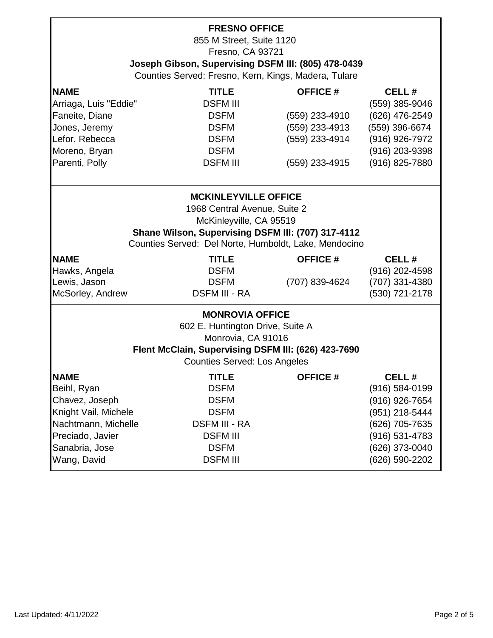| <b>FRESNO OFFICE</b><br>855 M Street, Suite 1120    |                                                         |                |                    |  |  |
|-----------------------------------------------------|---------------------------------------------------------|----------------|--------------------|--|--|
|                                                     | Fresno, CA 93721                                        |                |                    |  |  |
|                                                     | Joseph Gibson, Supervising DSFM III: (805) 478-0439     |                |                    |  |  |
|                                                     | Counties Served: Fresno, Kern, Kings, Madera, Tulare    |                |                    |  |  |
|                                                     |                                                         |                |                    |  |  |
|                                                     | <b>NAME</b><br><b>TITLE</b><br><b>OFFICE #</b><br>CELL# |                |                    |  |  |
| Arriaga, Luis "Eddie"                               | <b>DSFM III</b>                                         |                | (559) 385-9046     |  |  |
| Faneite, Diane                                      | <b>DSFM</b>                                             | (559) 233-4910 | (626) 476-2549     |  |  |
| Jones, Jeremy                                       | <b>DSFM</b>                                             | (559) 233-4913 | (559) 396-6674     |  |  |
| Lefor, Rebecca                                      | <b>DSFM</b>                                             | (559) 233-4914 | (916) 926-7972     |  |  |
| Moreno, Bryan                                       | <b>DSFM</b>                                             |                | (916) 203-9398     |  |  |
| Parenti, Polly                                      | <b>DSFM III</b>                                         | (559) 233-4915 | (916) 825-7880     |  |  |
|                                                     |                                                         |                |                    |  |  |
|                                                     | <b>MCKINLEYVILLE OFFICE</b>                             |                |                    |  |  |
|                                                     | 1968 Central Avenue, Suite 2                            |                |                    |  |  |
|                                                     | McKinleyville, CA 95519                                 |                |                    |  |  |
|                                                     | Shane Wilson, Supervising DSFM III: (707) 317-4112      |                |                    |  |  |
|                                                     | Counties Served: Del Norte, Humboldt, Lake, Mendocino   |                |                    |  |  |
| <b>NAME</b>                                         | <b>TITLE</b>                                            | <b>OFFICE#</b> | CELL#              |  |  |
| Hawks, Angela                                       | <b>DSFM</b>                                             |                | (916) 202-4598     |  |  |
| Lewis, Jason                                        | <b>DSFM</b>                                             | (707) 839-4624 | (707) 331-4380     |  |  |
| McSorley, Andrew                                    | <b>DSFM III - RA</b>                                    |                | (530) 721-2178     |  |  |
|                                                     |                                                         |                |                    |  |  |
|                                                     | <b>MONROVIA OFFICE</b>                                  |                |                    |  |  |
|                                                     | 602 E. Huntington Drive, Suite A                        |                |                    |  |  |
| Monrovia, CA 91016                                  |                                                         |                |                    |  |  |
| Flent McClain, Supervising DSFM III: (626) 423-7690 |                                                         |                |                    |  |  |
| <b>Counties Served: Los Angeles</b>                 |                                                         |                |                    |  |  |
| <b>NAME</b>                                         | <b>TITLE</b>                                            | <b>OFFICE#</b> | CELL#              |  |  |
| Beihl, Ryan                                         | <b>DSFM</b>                                             |                | $(916) 584 - 0199$ |  |  |
| Chavez, Joseph                                      | <b>DSFM</b>                                             |                | (916) 926-7654     |  |  |
| Knight Vail, Michele                                | <b>DSFM</b>                                             |                | (951) 218-5444     |  |  |
| Nachtmann, Michelle                                 | <b>DSFM III - RA</b>                                    |                | (626) 705-7635     |  |  |
| Preciado, Javier                                    | <b>DSFM III</b>                                         |                | (916) 531-4783     |  |  |
| Sanabria, Jose                                      | <b>DSFM</b>                                             |                | (626) 373-0040     |  |  |
| Wang, David                                         | <b>DSFM III</b>                                         |                | (626) 590-2202     |  |  |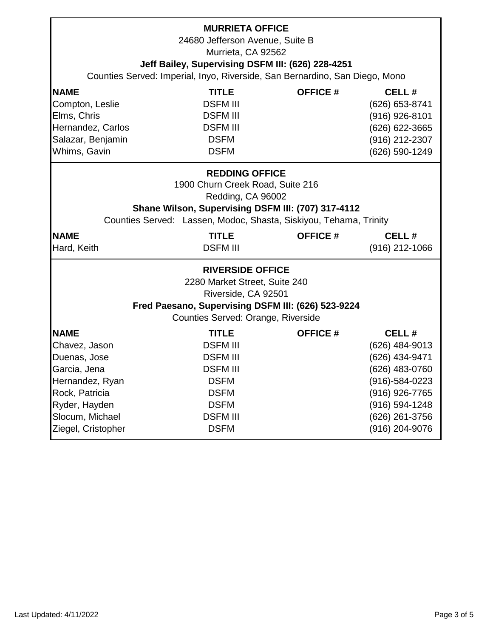| <b>MURRIETA OFFICE</b><br>24680 Jefferson Avenue, Suite B<br>Murrieta, CA 92562<br>Jeff Bailey, Supervising DSFM III: (626) 228-4251                                                                                                                                                                                      |                                                                                                                                                      |                 |                                                                                                                                                       |  |
|---------------------------------------------------------------------------------------------------------------------------------------------------------------------------------------------------------------------------------------------------------------------------------------------------------------------------|------------------------------------------------------------------------------------------------------------------------------------------------------|-----------------|-------------------------------------------------------------------------------------------------------------------------------------------------------|--|
|                                                                                                                                                                                                                                                                                                                           | Counties Served: Imperial, Inyo, Riverside, San Bernardino, San Diego, Mono                                                                          |                 |                                                                                                                                                       |  |
| <b>NAME</b><br>Compton, Leslie<br>Elms, Chris<br>Hernandez, Carlos<br>Salazar, Benjamin<br>Whims, Gavin                                                                                                                                                                                                                   | <b>TITLE</b><br><b>DSFM III</b><br><b>DSFM III</b><br><b>DSFM III</b><br><b>DSFM</b><br><b>DSFM</b>                                                  | <b>OFFICE#</b>  | CELL#<br>(626) 653-8741<br>$(916)$ 926-8101<br>(626) 622-3665<br>(916) 212-2307<br>(626) 590-1249                                                     |  |
| <b>REDDING OFFICE</b><br>1900 Churn Creek Road, Suite 216<br>Redding, CA 96002<br>Shane Wilson, Supervising DSFM III: (707) 317-4112<br>Counties Served: Lassen, Modoc, Shasta, Siskiyou, Tehama, Trinity<br><b>NAME</b><br><b>TITLE</b><br><b>OFFICE#</b><br>CELL#<br><b>DSFM III</b><br>Hard, Keith<br>$(916)$ 212-1066 |                                                                                                                                                      |                 |                                                                                                                                                       |  |
| <b>RIVERSIDE OFFICE</b><br>2280 Market Street, Suite 240<br>Riverside, CA 92501<br>Fred Paesano, Supervising DSFM III: (626) 523-9224<br>Counties Served: Orange, Riverside                                                                                                                                               |                                                                                                                                                      |                 |                                                                                                                                                       |  |
| <b>INAME</b><br>Chavez, Jason<br>Duenas, Jose<br>Garcia, Jena<br>Hernandez, Ryan<br>Rock, Patricia<br>Ryder, Hayden<br>Slocum, Michael<br>Ziegel, Cristopher                                                                                                                                                              | <b>TITLE</b><br><b>DSFM III</b><br><b>DSFM III</b><br><b>DSFM III</b><br><b>DSFM</b><br><b>DSFM</b><br><b>DSFM</b><br><b>DSFM III</b><br><b>DSFM</b> | <b>OFFICE #</b> | CELL#<br>(626) 484-9013<br>(626) 434-9471<br>(626) 483-0760<br>(916)-584-0223<br>(916) 926-7765<br>(916) 594-1248<br>(626) 261-3756<br>(916) 204-9076 |  |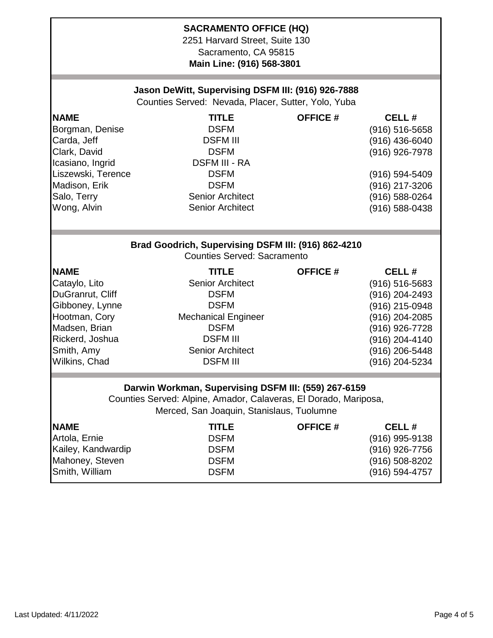## **SACRAMENTO OFFICE (HQ)**

2251 Harvard Street, Suite 130 Sacramento, CA 95815 **Main Line: (916) 568-3801** 

## **Jason DeWitt, Supervising DSFM III: (916) 926-7888**

Counties Served: Nevada, Placer, Sutter, Yolo, Yuba

| <b>NAME</b>        | <b>TITLE</b>                                                                              | <b>OFFICE#</b>  | CELL#              |
|--------------------|-------------------------------------------------------------------------------------------|-----------------|--------------------|
| Borgman, Denise    | <b>DSFM</b>                                                                               |                 | $(916) 516 - 5658$ |
| Carda, Jeff        | <b>DSFM III</b>                                                                           |                 | (916) 436-6040     |
| Clark, David       | <b>DSFM</b>                                                                               |                 | $(916)$ 926-7978   |
| Icasiano, Ingrid   | <b>DSFM III - RA</b>                                                                      |                 |                    |
| Liszewski, Terence | <b>DSFM</b>                                                                               |                 | (916) 594-5409     |
| Madison, Erik      | <b>DSFM</b>                                                                               |                 | (916) 217-3206     |
| Salo, Terry        | <b>Senior Architect</b>                                                                   |                 | (916) 588-0264     |
| Wong, Alvin        | <b>Senior Architect</b>                                                                   |                 | (916) 588-0438     |
|                    |                                                                                           |                 |                    |
|                    | Brad Goodrich, Supervising DSFM III: (916) 862-4210<br><b>Counties Served: Sacramento</b> |                 |                    |
| <b>NAME</b>        | <b>TITLE</b>                                                                              | <b>OFFICE #</b> | CELL#              |
| Cataylo, Lito      | <b>Senior Architect</b>                                                                   |                 | $(916) 516 - 5683$ |
| DuGranrut, Cliff   | <b>DSFM</b>                                                                               |                 | (916) 204-2493     |
| Gibboney, Lynne    | <b>DSFM</b>                                                                               |                 | (916) 215-0948     |
| Hootman, Cory      | <b>Mechanical Engineer</b>                                                                |                 | (916) 204-2085     |
| Madsen, Brian      | <b>DSFM</b>                                                                               |                 | (916) 926-7728     |
| Rickerd, Joshua    | <b>DSFM III</b>                                                                           |                 | (916) 204-4140     |
| Smith, Amy         | <b>Senior Architect</b>                                                                   |                 | (916) 206-5448     |
| Wilkins, Chad      | <b>DSFM III</b>                                                                           |                 | (916) 204-5234     |
|                    |                                                                                           |                 |                    |

## **Darwin Workman, Supervising DSFM III: (559) 267-6159**

Counties Served: Alpine, Amador, Calaveras, El Dorado, Mariposa, Merced, San Joaquin, Stanislaus, Tuolumne

| <b>NAME</b>        | <b>TITLE</b> | <b>OFFICE #</b> | CELL#              |
|--------------------|--------------|-----------------|--------------------|
| Artola, Ernie      | <b>DSFM</b>  |                 | $(916)$ 995-9138   |
| Kailey, Kandwardip | <b>DSFM</b>  |                 | $(916)$ 926-7756   |
| Mahoney, Steven    | <b>DSFM</b>  |                 | $(916) 508 - 8202$ |
| Smith, William     | <b>DSFM</b>  |                 | $(916) 594 - 4757$ |
|                    |              |                 |                    |